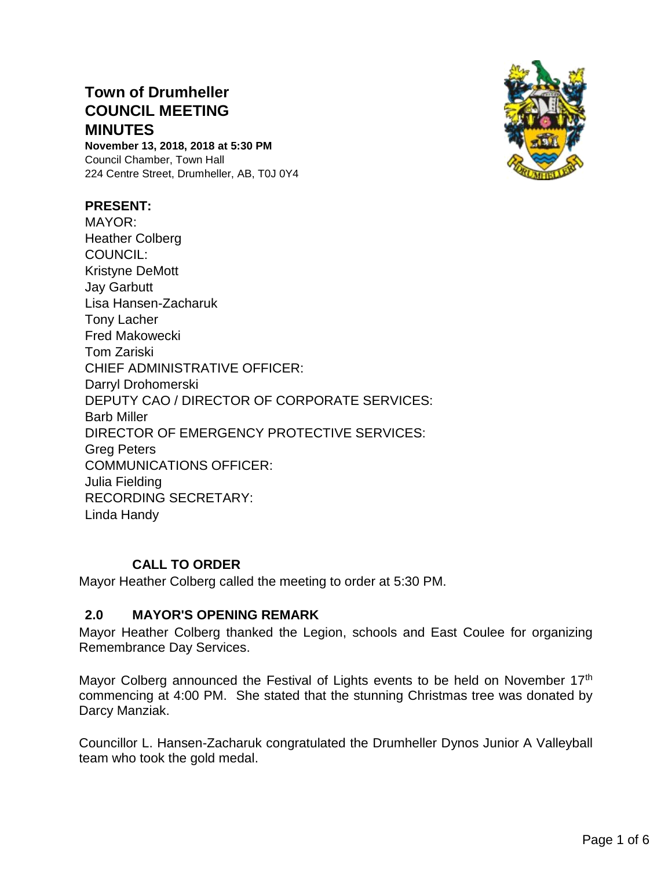# **Town of Drumheller COUNCIL MEETING MINUTES**

**November 13, 2018, 2018 at 5:30 PM** Council Chamber, Town Hall 224 Centre Street, Drumheller, AB, T0J 0Y4

#### **PRESENT:**

MAYOR: Heather Colberg COUNCIL: Kristyne DeMott Jay Garbutt Lisa Hansen-Zacharuk Tony Lacher Fred Makowecki Tom Zariski CHIEF ADMINISTRATIVE OFFICER: Darryl Drohomerski DEPUTY CAO / DIRECTOR OF CORPORATE SERVICES: Barb Miller DIRECTOR OF EMERGENCY PROTECTIVE SERVICES: Greg Peters COMMUNICATIONS OFFICER: Julia Fielding RECORDING SECRETARY: Linda Handy

#### **CALL TO ORDER**

Mayor Heather Colberg called the meeting to order at 5:30 PM.

#### **2.0 MAYOR'S OPENING REMARK**

Mayor Heather Colberg thanked the Legion, schools and East Coulee for organizing Remembrance Day Services.

Mayor Colberg announced the Festival of Lights events to be held on November 17<sup>th</sup> commencing at 4:00 PM. She stated that the stunning Christmas tree was donated by Darcy Manziak.

Councillor L. Hansen-Zacharuk congratulated the Drumheller Dynos Junior A Valleyball team who took the gold medal.

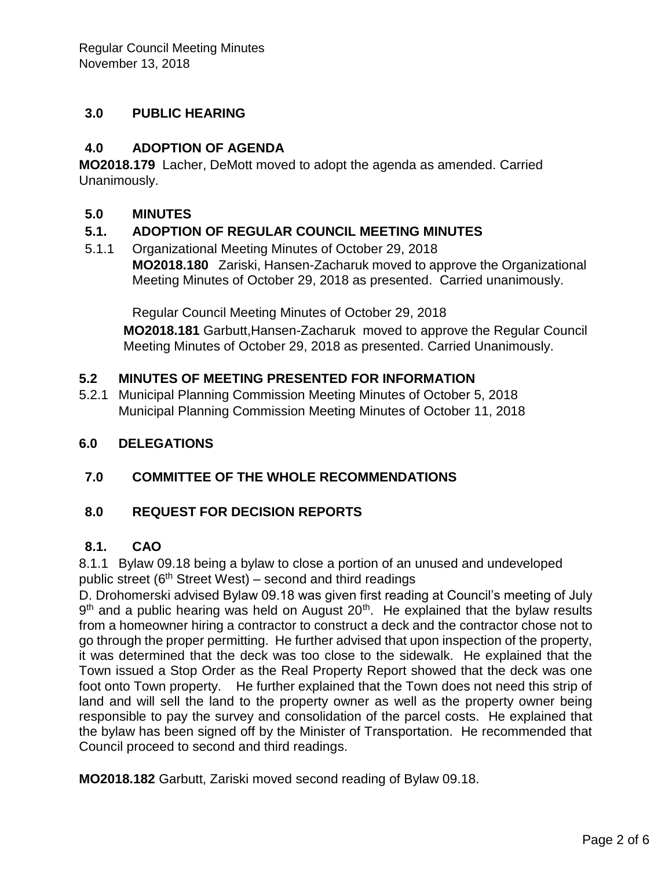# **3.0 PUBLIC HEARING**

# **4.0 ADOPTION OF AGENDA**

**MO2018.179** Lacher, DeMott moved to adopt the agenda as amended. Carried Unanimously.

# **5.0 MINUTES**

# **5.1. ADOPTION OF REGULAR COUNCIL MEETING MINUTES**

5.1.1 Organizational Meeting Minutes of October 29, 2018 **MO2018.180** Zariski, Hansen-Zacharuk moved to approve the Organizational Meeting Minutes of October 29, 2018 as presented. Carried unanimously.

Regular Council Meeting Minutes of October 29, 2018

**MO2018.181** Garbutt,Hansen-Zacharuk moved to approve the Regular Council Meeting Minutes of October 29, 2018 as presented. Carried Unanimously.

# **5.2 MINUTES OF MEETING PRESENTED FOR INFORMATION**

5.2.1 Municipal Planning Commission Meeting Minutes of October 5, 2018 Municipal Planning Commission Meeting Minutes of October 11, 2018

# **6.0 DELEGATIONS**

# **7.0 COMMITTEE OF THE WHOLE RECOMMENDATIONS**

# **8.0 REQUEST FOR DECISION REPORTS**

# **8.1. CAO**

8.1.1 Bylaw 09.18 being a bylaw to close a portion of an unused and undeveloped public street ( $6<sup>th</sup>$  Street West) – second and third readings

D. Drohomerski advised Bylaw 09.18 was given first reading at Council's meeting of July 9<sup>th</sup> and a public hearing was held on August 20<sup>th</sup>. He explained that the bylaw results from a homeowner hiring a contractor to construct a deck and the contractor chose not to go through the proper permitting. He further advised that upon inspection of the property, it was determined that the deck was too close to the sidewalk. He explained that the Town issued a Stop Order as the Real Property Report showed that the deck was one foot onto Town property. He further explained that the Town does not need this strip of land and will sell the land to the property owner as well as the property owner being responsible to pay the survey and consolidation of the parcel costs. He explained that the bylaw has been signed off by the Minister of Transportation. He recommended that Council proceed to second and third readings.

**MO2018.182** Garbutt, Zariski moved second reading of Bylaw 09.18.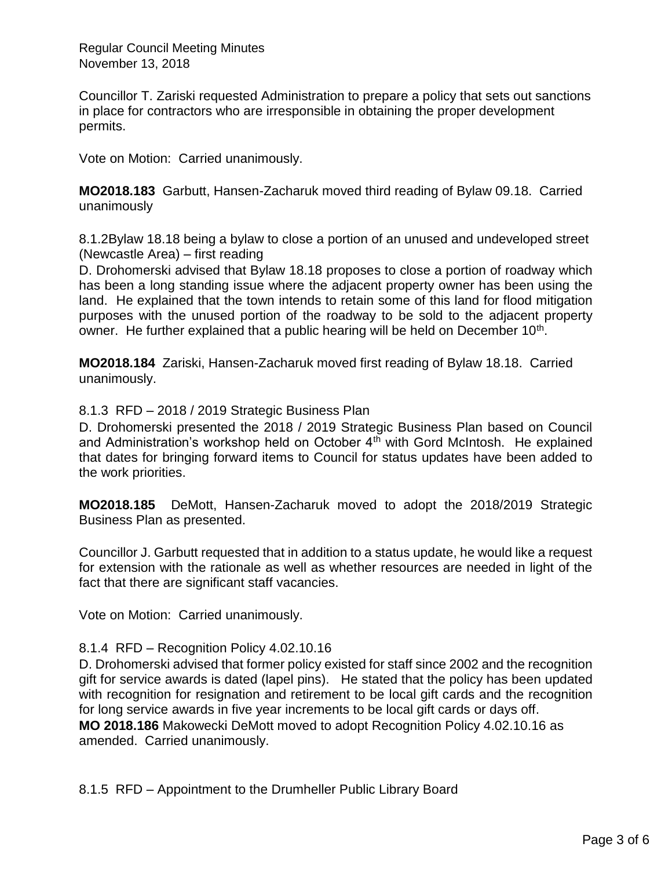Regular Council Meeting Minutes November 13, 2018

Councillor T. Zariski requested Administration to prepare a policy that sets out sanctions in place for contractors who are irresponsible in obtaining the proper development permits.

Vote on Motion: Carried unanimously.

**MO2018.183** Garbutt, Hansen-Zacharuk moved third reading of Bylaw 09.18. Carried unanimously

8.1.2Bylaw 18.18 being a bylaw to close a portion of an unused and undeveloped street (Newcastle Area) – first reading

D. Drohomerski advised that Bylaw 18.18 proposes to close a portion of roadway which has been a long standing issue where the adjacent property owner has been using the land. He explained that the town intends to retain some of this land for flood mitigation purposes with the unused portion of the roadway to be sold to the adjacent property owner. He further explained that a public hearing will be held on December 10<sup>th</sup>.

**MO2018.184** Zariski, Hansen-Zacharuk moved first reading of Bylaw 18.18. Carried unanimously.

#### 8.1.3 RFD – 2018 / 2019 Strategic Business Plan

D. Drohomerski presented the 2018 / 2019 Strategic Business Plan based on Council and Administration's workshop held on October  $4<sup>th</sup>$  with Gord McIntosh. He explained that dates for bringing forward items to Council for status updates have been added to the work priorities.

**MO2018.185** DeMott, Hansen-Zacharuk moved to adopt the 2018/2019 Strategic Business Plan as presented.

Councillor J. Garbutt requested that in addition to a status update, he would like a request for extension with the rationale as well as whether resources are needed in light of the fact that there are significant staff vacancies.

Vote on Motion: Carried unanimously.

#### 8.1.4 RFD – Recognition Policy 4.02.10.16

D. Drohomerski advised that former policy existed for staff since 2002 and the recognition gift for service awards is dated (lapel pins). He stated that the policy has been updated with recognition for resignation and retirement to be local gift cards and the recognition for long service awards in five year increments to be local gift cards or days off.

**MO 2018.186** Makowecki DeMott moved to adopt Recognition Policy 4.02.10.16 as amended. Carried unanimously.

8.1.5 RFD – Appointment to the Drumheller Public Library Board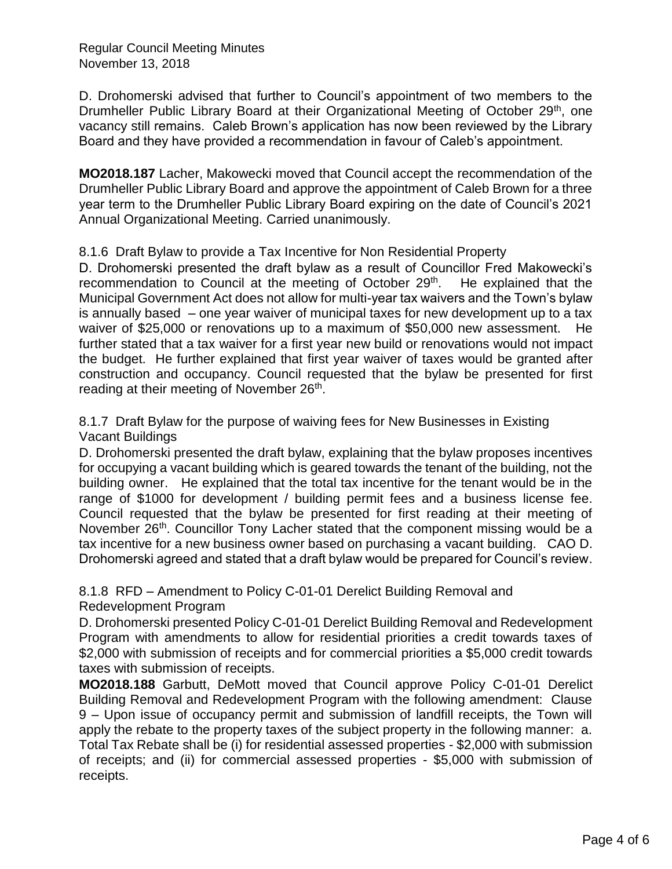D. Drohomerski advised that further to Council's appointment of two members to the Drumheller Public Library Board at their Organizational Meeting of October 29<sup>th</sup>, one vacancy still remains. Caleb Brown's application has now been reviewed by the Library Board and they have provided a recommendation in favour of Caleb's appointment.

**MO2018.187** Lacher, Makowecki moved that Council accept the recommendation of the Drumheller Public Library Board and approve the appointment of Caleb Brown for a three year term to the Drumheller Public Library Board expiring on the date of Council's 2021 Annual Organizational Meeting. Carried unanimously.

#### 8.1.6 Draft Bylaw to provide a Tax Incentive for Non Residential Property

D. Drohomerski presented the draft bylaw as a result of Councillor Fred Makowecki's recommendation to Council at the meeting of October 29<sup>th</sup>. He explained that the Municipal Government Act does not allow for multi-year tax waivers and the Town's bylaw is annually based – one year waiver of municipal taxes for new development up to a tax waiver of \$25,000 or renovations up to a maximum of \$50,000 new assessment. He further stated that a tax waiver for a first year new build or renovations would not impact the budget. He further explained that first year waiver of taxes would be granted after construction and occupancy. Council requested that the bylaw be presented for first reading at their meeting of November 26<sup>th</sup>.

#### 8.1.7 Draft Bylaw for the purpose of waiving fees for New Businesses in Existing Vacant Buildings

D. Drohomerski presented the draft bylaw, explaining that the bylaw proposes incentives for occupying a vacant building which is geared towards the tenant of the building, not the building owner. He explained that the total tax incentive for the tenant would be in the range of \$1000 for development / building permit fees and a business license fee. Council requested that the bylaw be presented for first reading at their meeting of November 26<sup>th</sup>. Councillor Tony Lacher stated that the component missing would be a tax incentive for a new business owner based on purchasing a vacant building. CAO D. Drohomerski agreed and stated that a draft bylaw would be prepared for Council's review.

8.1.8 RFD – Amendment to Policy C-01-01 Derelict Building Removal and Redevelopment Program

D. Drohomerski presented Policy C-01-01 Derelict Building Removal and Redevelopment Program with amendments to allow for residential priorities a credit towards taxes of \$2,000 with submission of receipts and for commercial priorities a \$5,000 credit towards taxes with submission of receipts.

**MO2018.188** Garbutt, DeMott moved that Council approve Policy C-01-01 Derelict Building Removal and Redevelopment Program with the following amendment: Clause 9 – Upon issue of occupancy permit and submission of landfill receipts, the Town will apply the rebate to the property taxes of the subject property in the following manner: a. Total Tax Rebate shall be (i) for residential assessed properties - \$2,000 with submission of receipts; and (ii) for commercial assessed properties - \$5,000 with submission of receipts.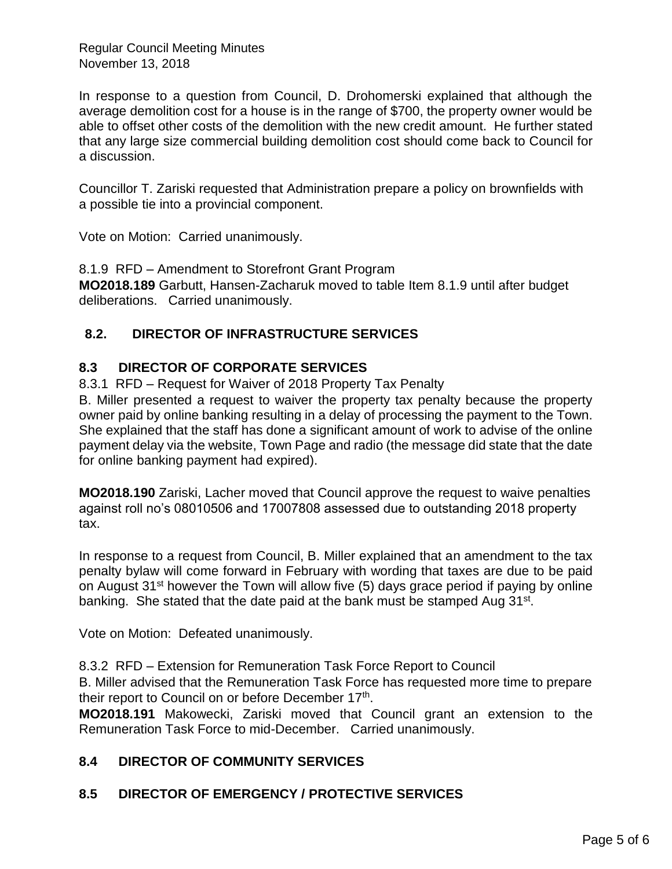Regular Council Meeting Minutes November 13, 2018

In response to a question from Council, D. Drohomerski explained that although the average demolition cost for a house is in the range of \$700, the property owner would be able to offset other costs of the demolition with the new credit amount. He further stated that any large size commercial building demolition cost should come back to Council for a discussion.

Councillor T. Zariski requested that Administration prepare a policy on brownfields with a possible tie into a provincial component.

Vote on Motion: Carried unanimously.

8.1.9 RFD – Amendment to Storefront Grant Program

**MO2018.189** Garbutt, Hansen-Zacharuk moved to table Item 8.1.9 until after budget deliberations. Carried unanimously.

#### **8.2. DIRECTOR OF INFRASTRUCTURE SERVICES**

#### **8.3 DIRECTOR OF CORPORATE SERVICES**

8.3.1 RFD – Request for Waiver of 2018 Property Tax Penalty

B. Miller presented a request to waiver the property tax penalty because the property owner paid by online banking resulting in a delay of processing the payment to the Town. She explained that the staff has done a significant amount of work to advise of the online payment delay via the website, Town Page and radio (the message did state that the date for online banking payment had expired).

**MO2018.190** Zariski, Lacher moved that Council approve the request to waive penalties against roll no's 08010506 and 17007808 assessed due to outstanding 2018 property tax.

In response to a request from Council, B. Miller explained that an amendment to the tax penalty bylaw will come forward in February with wording that taxes are due to be paid on August 31<sup>st</sup> however the Town will allow five (5) days grace period if paying by online banking. She stated that the date paid at the bank must be stamped Aug 31<sup>st</sup>.

Vote on Motion: Defeated unanimously.

8.3.2 RFD – Extension for Remuneration Task Force Report to Council

B. Miller advised that the Remuneration Task Force has requested more time to prepare their report to Council on or before December 17<sup>th</sup>.

**MO2018.191** Makowecki, Zariski moved that Council grant an extension to the Remuneration Task Force to mid-December. Carried unanimously.

# **8.4 DIRECTOR OF COMMUNITY SERVICES**

# **8.5 DIRECTOR OF EMERGENCY / PROTECTIVE SERVICES**